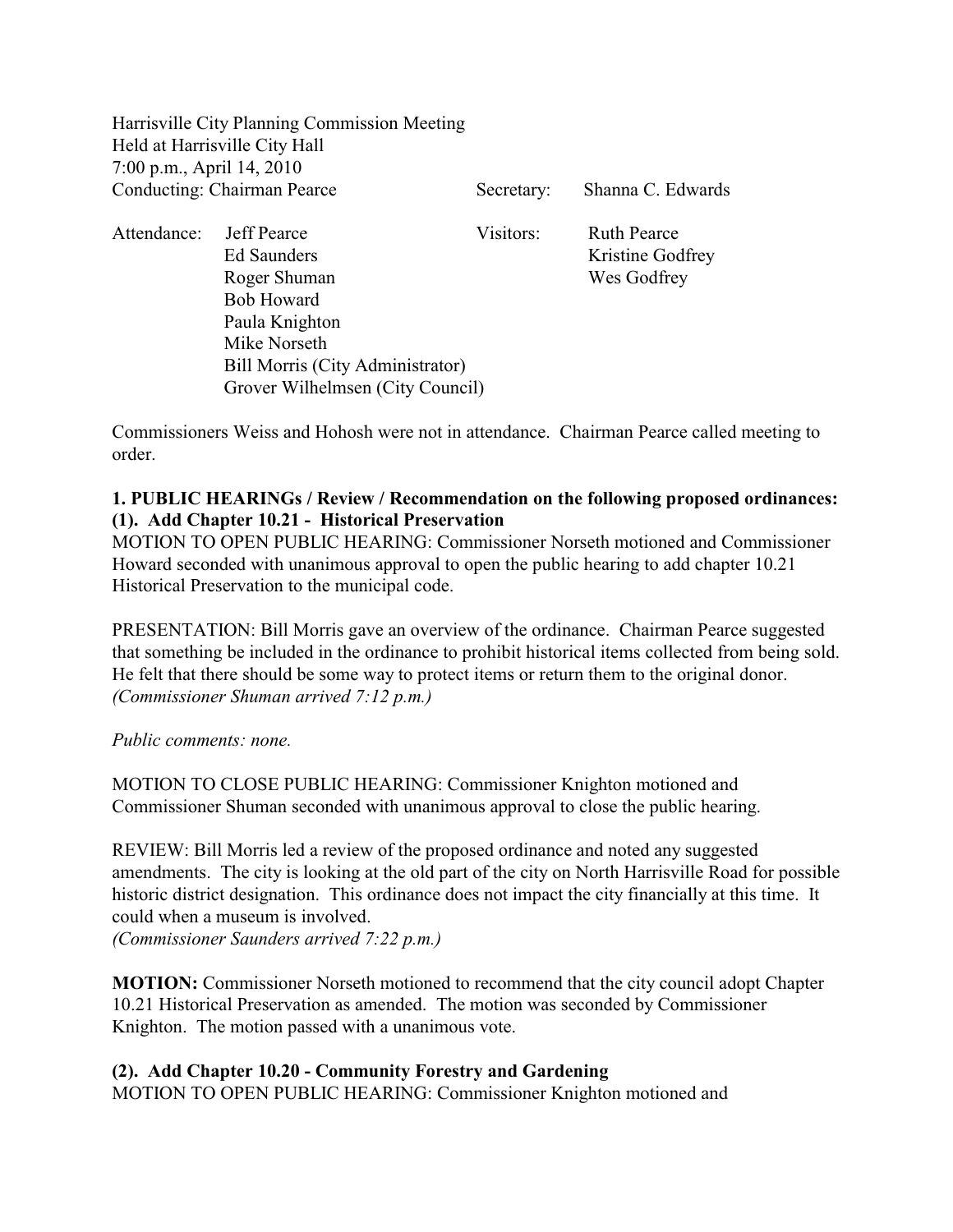Harrisville City Planning Commission Meeting Held at Harrisville City Hall 7:00 p.m., April 14, 2010 Conducting: Chairman Pearce Secretary: Shanna C. Edwards

| Attendance: | Jeff Pearce                      | Visitors: | <b>Ruth Pearce</b> |
|-------------|----------------------------------|-----------|--------------------|
|             | <b>Ed Saunders</b>               |           | Kristine Godfrey   |
|             | Roger Shuman                     |           | Wes Godfrey        |
|             | <b>Bob Howard</b>                |           |                    |
|             | Paula Knighton                   |           |                    |
|             | Mike Norseth                     |           |                    |
|             | Bill Morris (City Administrator) |           |                    |
|             | Grover Wilhelmsen (City Council) |           |                    |

Commissioners Weiss and Hohosh were not in attendance. Chairman Pearce called meeting to order.

# **1. PUBLIC HEARINGs / Review / Recommendation on the following proposed ordinances: (1). Add Chapter 10.21 - Historical Preservation**

MOTION TO OPEN PUBLIC HEARING: Commissioner Norseth motioned and Commissioner Howard seconded with unanimous approval to open the public hearing to add chapter 10.21 Historical Preservation to the municipal code.

PRESENTATION: Bill Morris gave an overview of the ordinance. Chairman Pearce suggested that something be included in the ordinance to prohibit historical items collected from being sold. He felt that there should be some way to protect items or return them to the original donor. *(Commissioner Shuman arrived 7:12 p.m.)*

*Public comments: none.*

MOTION TO CLOSE PUBLIC HEARING: Commissioner Knighton motioned and Commissioner Shuman seconded with unanimous approval to close the public hearing.

REVIEW: Bill Morris led a review of the proposed ordinance and noted any suggested amendments. The city is looking at the old part of the city on North Harrisville Road for possible historic district designation. This ordinance does not impact the city financially at this time. It could when a museum is involved.

*(Commissioner Saunders arrived 7:22 p.m.)*

**MOTION:** Commissioner Norseth motioned to recommend that the city council adopt Chapter 10.21 Historical Preservation as amended. The motion was seconded by Commissioner Knighton. The motion passed with a unanimous vote.

# **(2). Add Chapter 10.20 - Community Forestry and Gardening**

MOTION TO OPEN PUBLIC HEARING: Commissioner Knighton motioned and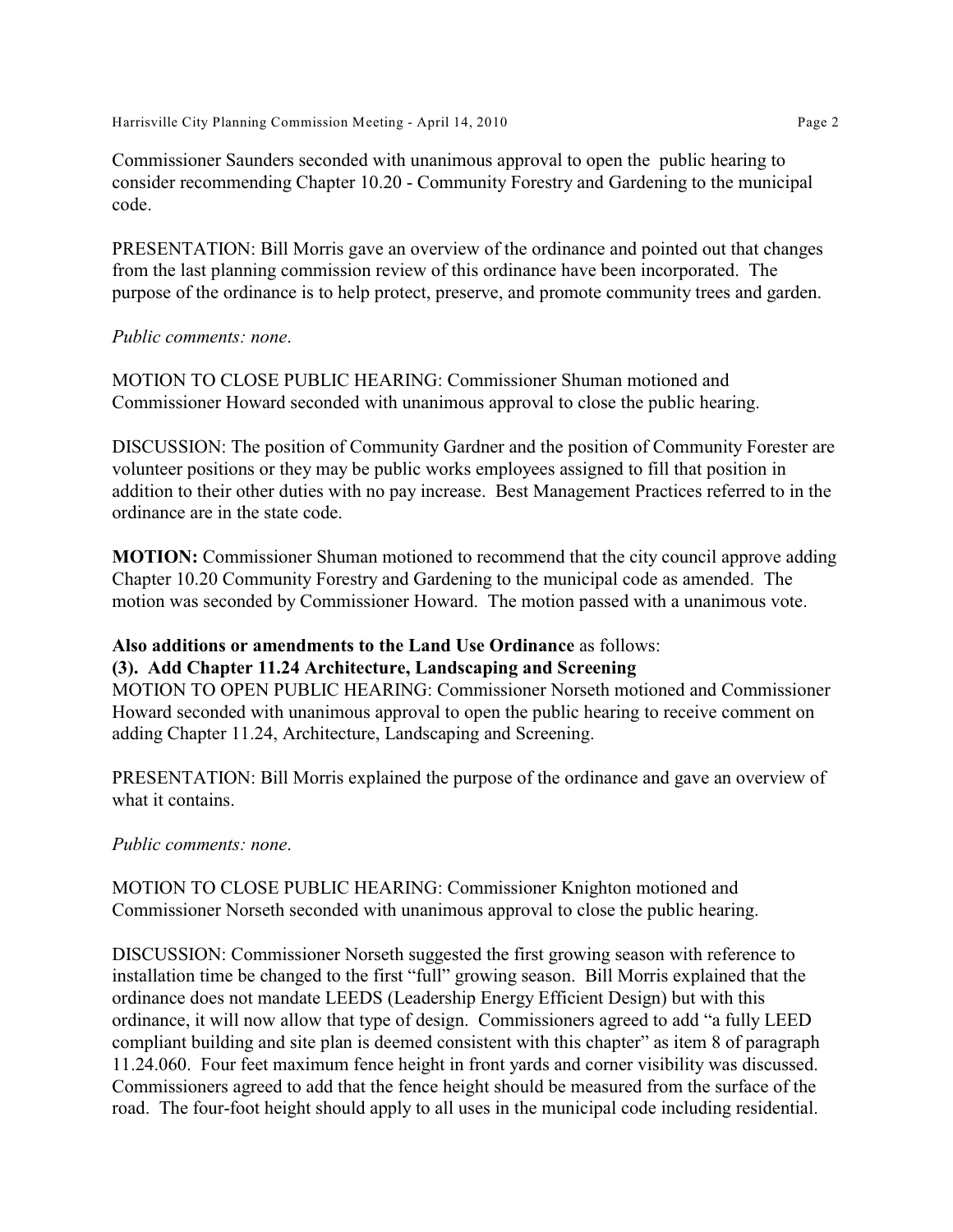Harrisville City Planning Commission Meeting - April 14, 2010 Page 2

Commissioner Saunders seconded with unanimous approval to open the public hearing to consider recommending Chapter 10.20 - Community Forestry and Gardening to the municipal code.

PRESENTATION: Bill Morris gave an overview of the ordinance and pointed out that changes from the last planning commission review of this ordinance have been incorporated. The purpose of the ordinance is to help protect, preserve, and promote community trees and garden.

### *Public comments: none*.

MOTION TO CLOSE PUBLIC HEARING: Commissioner Shuman motioned and Commissioner Howard seconded with unanimous approval to close the public hearing.

DISCUSSION: The position of Community Gardner and the position of Community Forester are volunteer positions or they may be public works employees assigned to fill that position in addition to their other duties with no pay increase. Best Management Practices referred to in the ordinance are in the state code.

**MOTION:** Commissioner Shuman motioned to recommend that the city council approve adding Chapter 10.20 Community Forestry and Gardening to the municipal code as amended. The motion was seconded by Commissioner Howard. The motion passed with a unanimous vote.

# **Also additions or amendments to the Land Use Ordinance** as follows: **(3). Add Chapter 11.24 Architecture, Landscaping and Screening**

MOTION TO OPEN PUBLIC HEARING: Commissioner Norseth motioned and Commissioner Howard seconded with unanimous approval to open the public hearing to receive comment on adding Chapter 11.24, Architecture, Landscaping and Screening.

PRESENTATION: Bill Morris explained the purpose of the ordinance and gave an overview of what it contains.

### *Public comments: none*.

MOTION TO CLOSE PUBLIC HEARING: Commissioner Knighton motioned and Commissioner Norseth seconded with unanimous approval to close the public hearing.

DISCUSSION: Commissioner Norseth suggested the first growing season with reference to installation time be changed to the first "full" growing season. Bill Morris explained that the ordinance does not mandate LEEDS (Leadership Energy Efficient Design) but with this ordinance, it will now allow that type of design. Commissioners agreed to add "a fully LEED compliant building and site plan is deemed consistent with this chapter" as item 8 of paragraph 11.24.060. Four feet maximum fence height in front yards and corner visibility was discussed. Commissioners agreed to add that the fence height should be measured from the surface of the road. The four-foot height should apply to all uses in the municipal code including residential.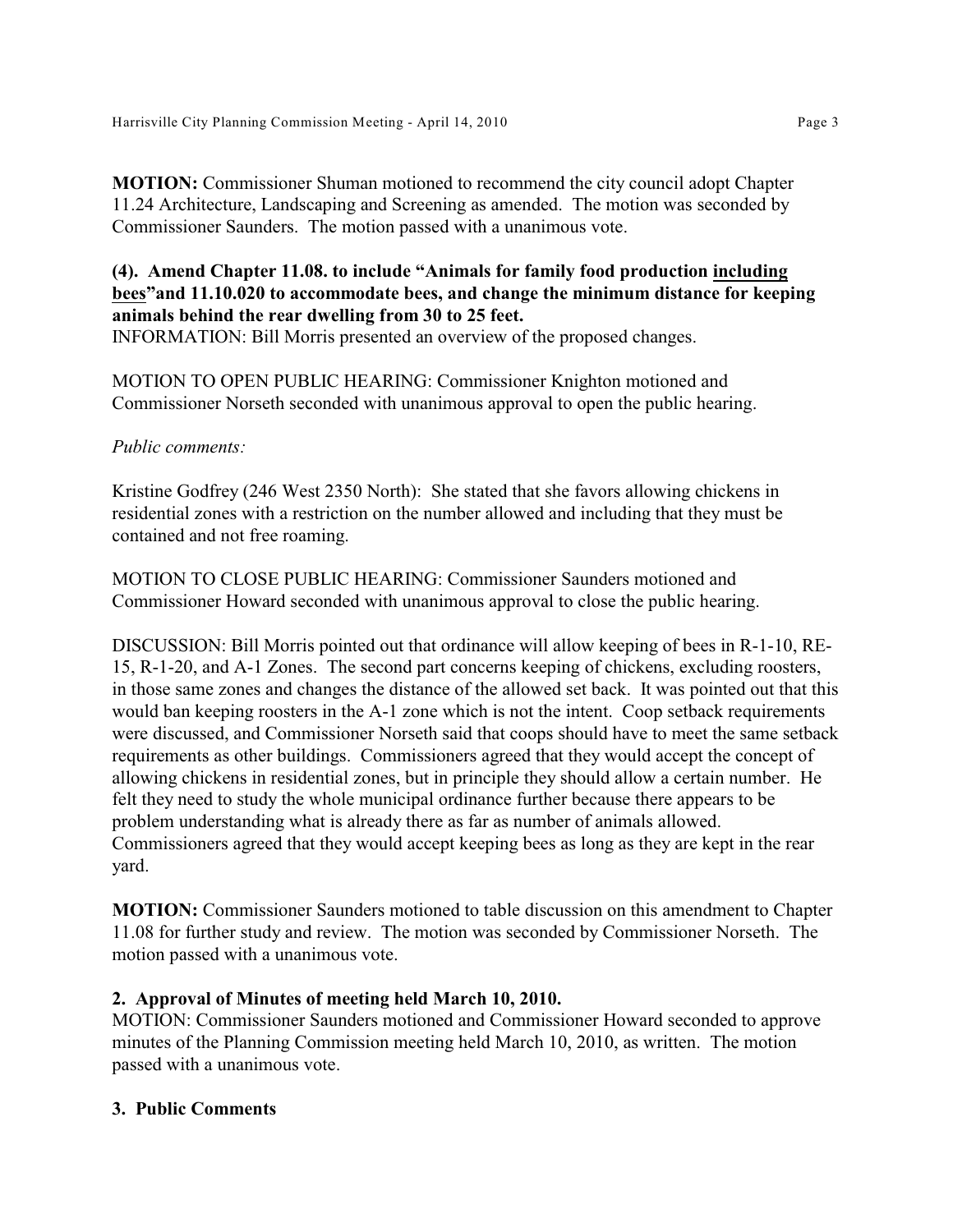**MOTION:** Commissioner Shuman motioned to recommend the city council adopt Chapter 11.24 Architecture, Landscaping and Screening as amended. The motion was seconded by Commissioner Saunders. The motion passed with a unanimous vote.

# **(4). Amend Chapter 11.08. to include "Animals for family food production including bees"and 11.10.020 to accommodate bees, and change the minimum distance for keeping animals behind the rear dwelling from 30 to 25 feet.**

INFORMATION: Bill Morris presented an overview of the proposed changes.

MOTION TO OPEN PUBLIC HEARING: Commissioner Knighton motioned and Commissioner Norseth seconded with unanimous approval to open the public hearing.

## *Public comments:*

Kristine Godfrey (246 West 2350 North): She stated that she favors allowing chickens in residential zones with a restriction on the number allowed and including that they must be contained and not free roaming.

MOTION TO CLOSE PUBLIC HEARING: Commissioner Saunders motioned and Commissioner Howard seconded with unanimous approval to close the public hearing.

DISCUSSION: Bill Morris pointed out that ordinance will allow keeping of bees in R-1-10, RE-15, R-1-20, and A-1 Zones. The second part concerns keeping of chickens, excluding roosters, in those same zones and changes the distance of the allowed set back. It was pointed out that this would ban keeping roosters in the A-1 zone which is not the intent. Coop setback requirements were discussed, and Commissioner Norseth said that coops should have to meet the same setback requirements as other buildings. Commissioners agreed that they would accept the concept of allowing chickens in residential zones, but in principle they should allow a certain number. He felt they need to study the whole municipal ordinance further because there appears to be problem understanding what is already there as far as number of animals allowed. Commissioners agreed that they would accept keeping bees as long as they are kept in the rear yard.

**MOTION:** Commissioner Saunders motioned to table discussion on this amendment to Chapter 11.08 for further study and review. The motion was seconded by Commissioner Norseth. The motion passed with a unanimous vote.

# **2. Approval of Minutes of meeting held March 10, 2010.**

MOTION: Commissioner Saunders motioned and Commissioner Howard seconded to approve minutes of the Planning Commission meeting held March 10, 2010, as written. The motion passed with a unanimous vote.

# **3. Public Comments**